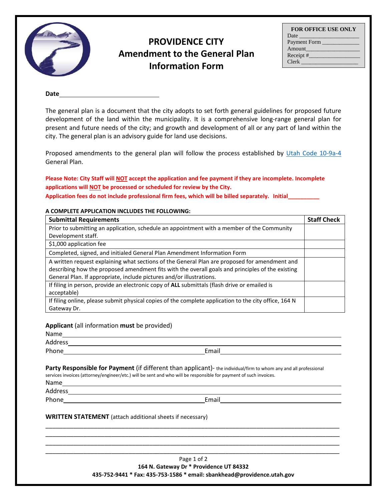

## **PROVIDENCE CITY Amendment to the General Plan Information Form**

| <b>FOR OFFICE USE ONLY</b> |
|----------------------------|
|                            |
| Payment Form               |
| Amount                     |
|                            |
| <b>Clerk</b>               |

**Date**

The general plan is a document that the city adopts to set forth general guidelines for proposed future development of the land within the municipality. It is a comprehensive long-range general plan for present and future needs of the city; and growth and development of all or any part of land within the city. The general plan is an advisory guide for land use decisions.

Proposed amendments to the general plan will follow the process established by [Utah Code 10-9a-4](https://le.utah.gov/xcode/Title10/Chapter9A/10-9a-P4.html) General Plan.

**Please Note: City Staff will NOT accept the application and fee payment if they are incomplete. Incomplete applications will NOT be processed or scheduled for review by the City.** 

**Application fees do not include professional firm fees, which will be billed separately. Initial\_\_\_\_\_\_\_\_\_\_**

## **A COMPLETE APPLICATION INCLUDES THE FOLLOWING:**

| <b>Submittal Requirements</b>                                                                         | <b>Staff Check</b> |
|-------------------------------------------------------------------------------------------------------|--------------------|
| Prior to submitting an application, schedule an appointment with a member of the Community            |                    |
| Development staff.                                                                                    |                    |
| \$1,000 application fee                                                                               |                    |
| Completed, signed, and initialed General Plan Amendment Information Form                              |                    |
| A written request explaining what sections of the General Plan are proposed for amendment and         |                    |
| describing how the proposed amendment fits with the overall goals and principles of the existing      |                    |
| General Plan. If appropriate, include pictures and/or illustrations.                                  |                    |
| If filing in person, provide an electronic copy of ALL submittals (flash drive or emailed is          |                    |
| acceptable)                                                                                           |                    |
| If filing online, please submit physical copies of the complete application to the city office, 164 N |                    |
| Gateway Dr.                                                                                           |                    |

## **Applicant** (all information **must** be provided)

| Name    |  |  |
|---------|--|--|
| Address |  |  |

Phone **Email** 

**Party Responsible for Payment** (if different than applicant)- the individual/firm to whom any and all professional services invoices (attorney/engineer/etc.) will be sent and who will be responsible for payment of such invoices.

Name

Address

Phone Email Email Email Email Email Email Email Email Email Email Email Email Email Email Email Email Email Email Email Email Email Email Email Email Email Email Email Email Email Email Email Email Email Email Email Email

## **WRITTEN STATEMENT** (attach additional sheets if necessary)

Page 1 of 2 **164 N. Gateway Dr \* Providence UT 84332 435-752-9441 \* Fax: 435-753-1586 \* email: sbankhead@providence.utah.gov**

\_\_\_\_\_\_\_\_\_\_\_\_\_\_\_\_\_\_\_\_\_\_\_\_\_\_\_\_\_\_\_\_\_\_\_\_\_\_\_\_\_\_\_\_\_\_\_\_\_\_\_\_\_\_\_\_\_\_\_\_\_\_\_\_\_\_\_\_\_\_\_\_\_\_\_\_\_\_\_\_\_\_\_\_\_ \_\_\_\_\_\_\_\_\_\_\_\_\_\_\_\_\_\_\_\_\_\_\_\_\_\_\_\_\_\_\_\_\_\_\_\_\_\_\_\_\_\_\_\_\_\_\_\_\_\_\_\_\_\_\_\_\_\_\_\_\_\_\_\_\_\_\_\_\_\_\_\_\_\_\_\_\_\_\_\_\_\_\_\_\_ \_\_\_\_\_\_\_\_\_\_\_\_\_\_\_\_\_\_\_\_\_\_\_\_\_\_\_\_\_\_\_\_\_\_\_\_\_\_\_\_\_\_\_\_\_\_\_\_\_\_\_\_\_\_\_\_\_\_\_\_\_\_\_\_\_\_\_\_\_\_\_\_\_\_\_\_\_\_\_\_\_\_\_\_\_ \_\_\_\_\_\_\_\_\_\_\_\_\_\_\_\_\_\_\_\_\_\_\_\_\_\_\_\_\_\_\_\_\_\_\_\_\_\_\_\_\_\_\_\_\_\_\_\_\_\_\_\_\_\_\_\_\_\_\_\_\_\_\_\_\_\_\_\_\_\_\_\_\_\_\_\_\_\_\_\_\_\_\_\_\_